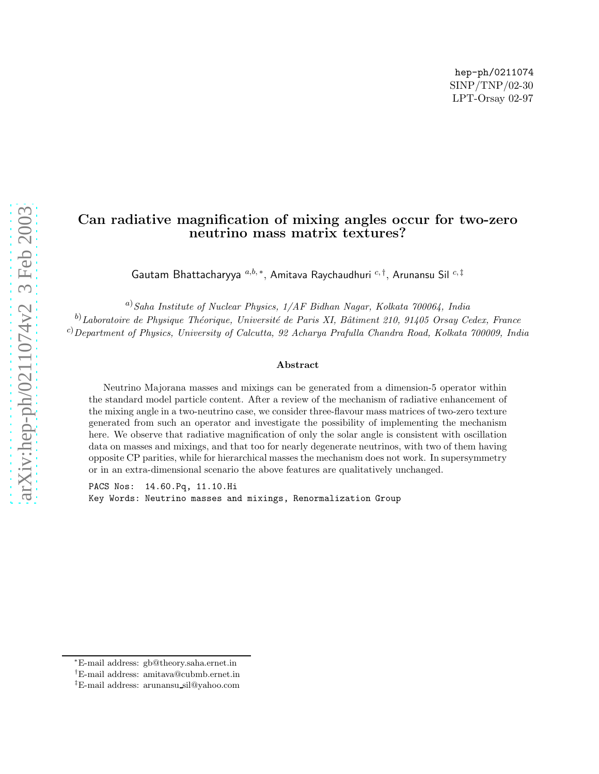hep-ph/0211074 SINP/TNP/02-30 LPT-Orsay 02-97

# Can radiative magnification of mixing angles occur for two-zero neutrino mass matrix textures?

Gautam Bhattacharyya  $^{a,b,\ast},$  Amitava Raychaudhuri  $^{c,\dagger},$  Arunansu Sil  $^{c,\ddagger}$ 

<sup>a)</sup>Saha Institute of Nuclear Physics, 1/AF Bidhan Nagar, Kolkata 700064, India  $^{(b)}$ Laboratoire de Physique Théorique, Université de Paris XI, Bâtiment 210, 91405 Orsay Cedex, France <sup>c)</sup>Department of Physics, University of Calcutta, 92 Acharya Prafulla Chandra Road, Kolkata 700009, India

#### Abstract

Neutrino Majorana masses and mixings can be generated from a dimension-5 operator within the standard model particle content. After a review of the mechanism of radiative enhancement of the mixing angle in a two-neutrino case, we consider three-flavour mass matrices of two-zero texture generated from such an operator and investigate the possibility of implementing the mechanism here. We observe that radiative magnification of only the solar angle is consistent with oscillation data on masses and mixings, and that too for nearly degenerate neutrinos, with two of them having opposite CP parities, while for hierarchical masses the mechanism does not work. In supersymmetry or in an extra-dimensional scenario the above features are qualitatively unchanged.

PACS Nos: 14.60.Pq, 11.10.Hi Key Words: Neutrino masses and mixings, Renormalization Group

<sup>∗</sup>E-mail address: gb@theory.saha.ernet.in

<sup>†</sup>E-mail address: amitava@cubmb.ernet.in

<sup>‡</sup>E-mail address: arunansu sil@yahoo.com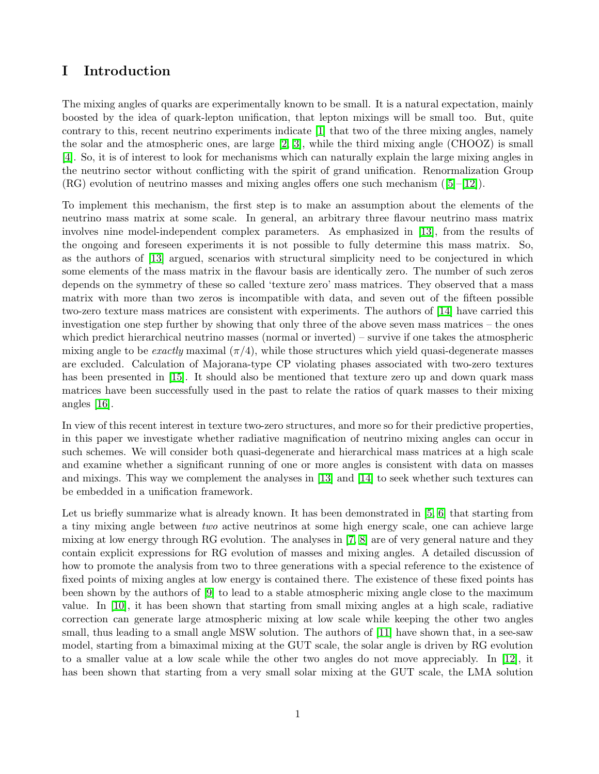# I Introduction

The mixing angles of quarks are experimentally known to be small. It is a natural expectation, mainly boosted by the idea of quark-lepton unification, that lepton mixings will be small too. But, quite contrary to this, recent neutrino experiments indicate [\[1\]](#page-14-0) that two of the three mixing angles, namely the solar and the atmospheric ones, are large [\[2,](#page-14-1) [3\]](#page-14-2), while the third mixing angle (CHOOZ) is small [\[4\]](#page-14-3). So, it is of interest to look for mechanisms which can naturally explain the large mixing angles in the neutrino sector without conflicting with the spirit of grand unification. Renormalization Group  $(RG)$ evolution of neutrino masses and mixing angles offers one such mechanism  $([5]-[12])$  $([5]-[12])$  $([5]-[12])$  $([5]-[12])$  $([5]-[12])$ .

To implement this mechanism, the first step is to make an assumption about the elements of the neutrino mass matrix at some scale. In general, an arbitrary three flavour neutrino mass matrix involves nine model-independent complex parameters. As emphasized in [\[13\]](#page-14-6), from the results of the ongoing and foreseen experiments it is not possible to fully determine this mass matrix. So, as the authors of [\[13\]](#page-14-6) argued, scenarios with structural simplicity need to be conjectured in which some elements of the mass matrix in the flavour basis are identically zero. The number of such zeros depends on the symmetry of these so called 'texture zero' mass matrices. They observed that a mass matrix with more than two zeros is incompatible with data, and seven out of the fifteen possible two-zero texture mass matrices are consistent with experiments. The authors of [\[14\]](#page-14-7) have carried this investigation one step further by showing that only three of the above seven mass matrices – the ones which predict hierarchical neutrino masses (normal or inverted) – survive if one takes the atmospheric mixing angle to be exactly maximal  $(\pi/4)$ , while those structures which yield quasi-degenerate masses are excluded. Calculation of Majorana-type CP violating phases associated with two-zero textures has been presented in [\[15\]](#page-14-8). It should also be mentioned that texture zero up and down quark mass matrices have been successfully used in the past to relate the ratios of quark masses to their mixing angles [\[16\]](#page-14-9).

In view of this recent interest in texture two-zero structures, and more so for their predictive properties, in this paper we investigate whether radiative magnification of neutrino mixing angles can occur in such schemes. We will consider both quasi-degenerate and hierarchical mass matrices at a high scale and examine whether a significant running of one or more angles is consistent with data on masses and mixings. This way we complement the analyses in [\[13\]](#page-14-6) and [\[14\]](#page-14-7) to seek whether such textures can be embedded in a unification framework.

Let us briefly summarize what is already known. It has been demonstrated in [\[5,](#page-14-4) [6\]](#page-14-10) that starting from a tiny mixing angle between two active neutrinos at some high energy scale, one can achieve large mixing at low energy through RG evolution. The analyses in [\[7,](#page-14-11) [8\]](#page-14-12) are of very general nature and they contain explicit expressions for RG evolution of masses and mixing angles. A detailed discussion of how to promote the analysis from two to three generations with a special reference to the existence of fixed points of mixing angles at low energy is contained there. The existence of these fixed points has been shown by the authors of [\[9\]](#page-14-13) to lead to a stable atmospheric mixing angle close to the maximum value. In [\[10\]](#page-14-14), it has been shown that starting from small mixing angles at a high scale, radiative correction can generate large atmospheric mixing at low scale while keeping the other two angles small, thus leading to a small angle MSW solution. The authors of [\[11\]](#page-14-15) have shown that, in a see-saw model, starting from a bimaximal mixing at the GUT scale, the solar angle is driven by RG evolution to a smaller value at a low scale while the other two angles do not move appreciably. In [\[12\]](#page-14-5), it has been shown that starting from a very small solar mixing at the GUT scale, the LMA solution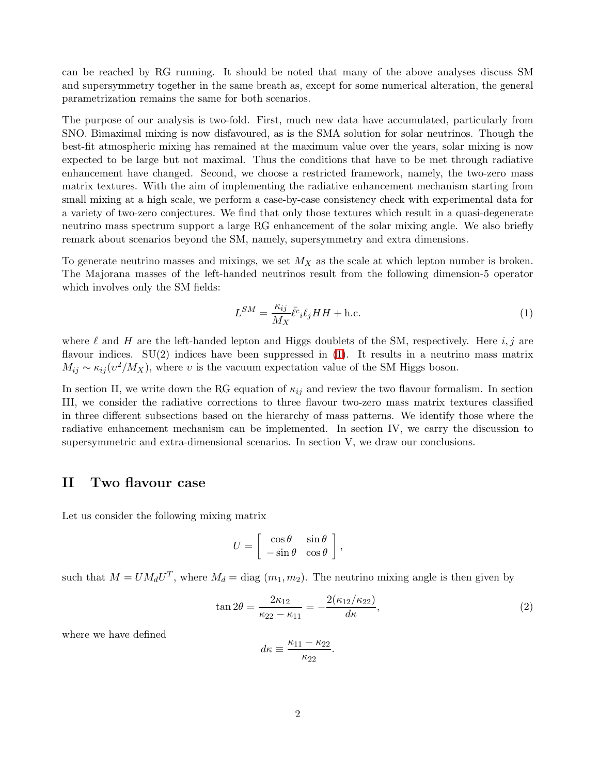can be reached by RG running. It should be noted that many of the above analyses discuss SM and supersymmetry together in the same breath as, except for some numerical alteration, the general parametrization remains the same for both scenarios.

The purpose of our analysis is two-fold. First, much new data have accumulated, particularly from SNO. Bimaximal mixing is now disfavoured, as is the SMA solution for solar neutrinos. Though the best-fit atmospheric mixing has remained at the maximum value over the years, solar mixing is now expected to be large but not maximal. Thus the conditions that have to be met through radiative enhancement have changed. Second, we choose a restricted framework, namely, the two-zero mass matrix textures. With the aim of implementing the radiative enhancement mechanism starting from small mixing at a high scale, we perform a case-by-case consistency check with experimental data for a variety of two-zero conjectures. We find that only those textures which result in a quasi-degenerate neutrino mass spectrum support a large RG enhancement of the solar mixing angle. We also briefly remark about scenarios beyond the SM, namely, supersymmetry and extra dimensions.

To generate neutrino masses and mixings, we set  $M_X$  as the scale at which lepton number is broken. The Majorana masses of the left-handed neutrinos result from the following dimension-5 operator which involves only the SM fields:

<span id="page-2-0"></span>
$$
L^{SM} = \frac{\kappa_{ij}}{M_X} \bar{\ell}^c_i \ell_j HH + \text{h.c.}
$$
 (1)

where  $\ell$  and H are the left-handed lepton and Higgs doublets of the SM, respectively. Here  $i, j$  are flavour indices.  $SU(2)$  indices have been suppressed in [\(1\)](#page-2-0). It results in a neutrino mass matrix  $M_{ij} \sim \kappa_{ij}(v^2/M_X)$ , where v is the vacuum expectation value of the SM Higgs boson.

In section II, we write down the RG equation of  $\kappa_{ij}$  and review the two flavour formalism. In section III, we consider the radiative corrections to three flavour two-zero mass matrix textures classified in three different subsections based on the hierarchy of mass patterns. We identify those where the radiative enhancement mechanism can be implemented. In section IV, we carry the discussion to supersymmetric and extra-dimensional scenarios. In section V, we draw our conclusions.

### II Two flavour case

Let us consider the following mixing matrix

$$
U = \left[ \begin{array}{cc} \cos \theta & \sin \theta \\ -\sin \theta & \cos \theta \end{array} \right],
$$

such that  $M = U M_d U^T$ , where  $M_d = \text{diag}(m_1, m_2)$ . The neutrino mixing angle is then given by

$$
\tan 2\theta = \frac{2\kappa_{12}}{\kappa_{22} - \kappa_{11}} = -\frac{2(\kappa_{12}/\kappa_{22})}{d\kappa},\tag{2}
$$

where we have defined

$$
d\kappa \equiv \frac{\kappa_{11} - \kappa_{22}}{\kappa_{22}}.
$$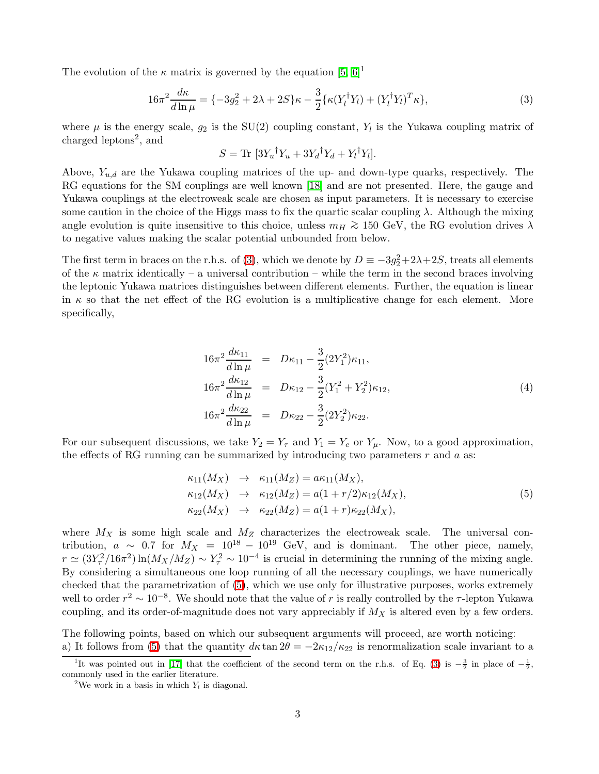<span id="page-3-0"></span>The evolution of the  $\kappa$  matrix is governed by the equation [\[5,](#page-14-4) [6\]](#page-14-10)<sup>1</sup>

$$
16\pi^2 \frac{d\kappa}{d\ln\mu} = \{-3g_2^2 + 2\lambda + 2S\}\kappa - \frac{3}{2}\{\kappa (Y_l^{\dagger} Y_l) + (Y_l^{\dagger} Y_l)^T \kappa\},\tag{3}
$$

where  $\mu$  is the energy scale,  $g_2$  is the SU(2) coupling constant,  $Y_l$  is the Yukawa coupling matrix of charged leptons<sup>2</sup>, and

$$
S = \text{Tr} \left[ 3Y_u^\dagger Y_u + 3Y_d^\dagger Y_d + Y_l^\dagger Y_l \right].
$$

Above,  $Y_{u,d}$  are the Yukawa coupling matrices of the up- and down-type quarks, respectively. The RG equations for the SM couplings are well known [\[18\]](#page-15-0) and are not presented. Here, the gauge and Yukawa couplings at the electroweak scale are chosen as input parameters. It is necessary to exercise some caution in the choice of the Higgs mass to fix the quartic scalar coupling  $\lambda$ . Although the mixing angle evolution is quite insensitive to this choice, unless  $m_H \gtrsim 150$  GeV, the RG evolution drives  $\lambda$ to negative values making the scalar potential unbounded from below.

The first term in braces on the r.h.s. of [\(3\)](#page-3-0), which we denote by  $D \equiv -3g_2^2 + 2\lambda + 2S$ , treats all elements of the  $\kappa$  matrix identically – a universal contribution – while the term in the second braces involving the leptonic Yukawa matrices distinguishes between different elements. Further, the equation is linear in  $\kappa$  so that the net effect of the RG evolution is a multiplicative change for each element. More specifically,

$$
16\pi^2 \frac{d\kappa_{11}}{d\ln \mu} = D\kappa_{11} - \frac{3}{2} (2Y_1^2)\kappa_{11},
$$
  
\n
$$
16\pi^2 \frac{d\kappa_{12}}{d\ln \mu} = D\kappa_{12} - \frac{3}{2} (Y_1^2 + Y_2^2)\kappa_{12},
$$
  
\n
$$
16\pi^2 \frac{d\kappa_{22}}{d\ln \mu} = D\kappa_{22} - \frac{3}{2} (2Y_2^2)\kappa_{22}.
$$
  
\n(4)

<span id="page-3-1"></span>For our subsequent discussions, we take  $Y_2 = Y_\tau$  and  $Y_1 = Y_e$  or  $Y_\mu$ . Now, to a good approximation, the effects of RG running can be summarized by introducing two parameters  $r$  and  $a$  as:

$$
\kappa_{11}(M_X) \rightarrow \kappa_{11}(M_Z) = a\kappa_{11}(M_X), \n\kappa_{12}(M_X) \rightarrow \kappa_{12}(M_Z) = a(1+r/2)\kappa_{12}(M_X), \n\kappa_{22}(M_X) \rightarrow \kappa_{22}(M_Z) = a(1+r)\kappa_{22}(M_X),
$$
\n(5)

where  $M_X$  is some high scale and  $M_Z$  characterizes the electroweak scale. The universal contribution,  $a \sim 0.7$  for  $M_X = 10^{18} - 10^{19}$  GeV, and is dominant. The other piece, namely,  $r \simeq (3Y_\tau^2/16\pi^2) \ln(M_X/M_Z) \sim Y_\tau^2 \sim 10^{-4}$  is crucial in determining the running of the mixing angle. By considering a simultaneous one loop running of all the necessary couplings, we have numerically checked that the parametrization of [\(5\)](#page-3-1), which we use only for illustrative purposes, works extremely well to order  $r^2 \sim 10^{-8}$ . We should note that the value of r is really controlled by the  $\tau$ -lepton Yukawa coupling, and its order-of-magnitude does not vary appreciably if  $M_X$  is altered even by a few orders.

The following points, based on which our subsequent arguments will proceed, are worth noticing: a) It follows from [\(5\)](#page-3-1) that the quantity  $d\kappa \tan 2\theta = -2\kappa_{12}/\kappa_{22}$  is renormalization scale invariant to a

<sup>&</sup>lt;sup>1</sup>It was pointed out in [\[17\]](#page-15-1) that the coefficient of the second term on the r.h.s. of Eq. [\(3\)](#page-3-0) is  $-\frac{3}{2}$  in place of  $-\frac{1}{2}$ , commonly used in the earlier literature.

<sup>&</sup>lt;sup>2</sup>We work in a basis in which  $Y_l$  is diagonal.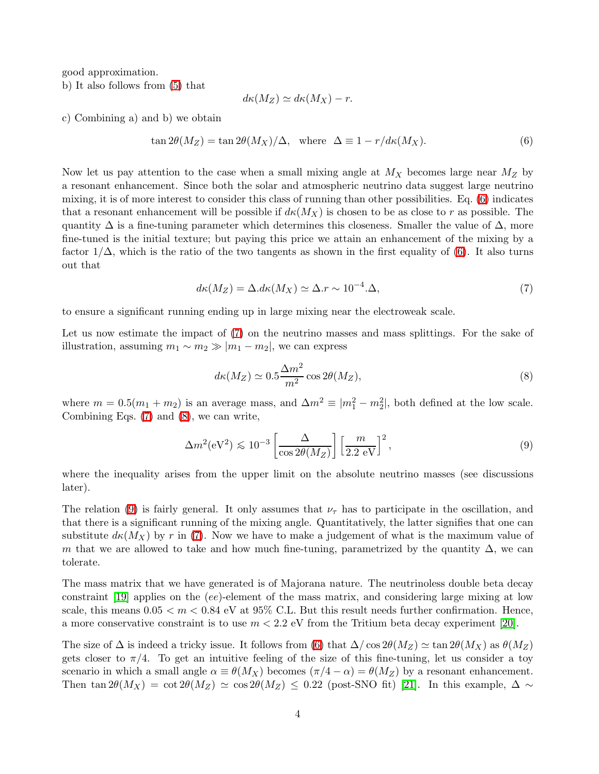good approximation. b) It also follows from [\(5\)](#page-3-1) that

$$
d\kappa(M_Z) \simeq d\kappa(M_X) - r.
$$

<span id="page-4-0"></span>c) Combining a) and b) we obtain

$$
\tan 2\theta(M_Z) = \tan 2\theta(M_X)/\Delta, \text{ where } \Delta \equiv 1 - r/d\kappa(M_X). \tag{6}
$$

Now let us pay attention to the case when a small mixing angle at  $M_X$  becomes large near  $M_Z$  by a resonant enhancement. Since both the solar and atmospheric neutrino data suggest large neutrino mixing, it is of more interest to consider this class of running than other possibilities. Eq. [\(6\)](#page-4-0) indicates that a resonant enhancement will be possible if  $d\kappa(M_X)$  is chosen to be as close to r as possible. The quantity  $\Delta$  is a fine-tuning parameter which determines this closeness. Smaller the value of  $\Delta$ , more fine-tuned is the initial texture; but paying this price we attain an enhancement of the mixing by a factor  $1/\Delta$ , which is the ratio of the two tangents as shown in the first equality of [\(6\)](#page-4-0). It also turns out that

$$
d\kappa(M_Z) = \Delta.d\kappa(M_X) \simeq \Delta.r \sim 10^{-4}.\Delta,
$$
\n(7)

<span id="page-4-1"></span>to ensure a significant running ending up in large mixing near the electroweak scale.

Let us now estimate the impact of [\(7\)](#page-4-1) on the neutrino masses and mass splittings. For the sake of illustration, assuming  $m_1 \sim m_2 \gg |m_1 - m_2|$ , we can express

<span id="page-4-2"></span>
$$
d\kappa(M_Z) \simeq 0.5 \frac{\Delta m^2}{m^2} \cos 2\theta(M_Z),\tag{8}
$$

where  $m = 0.5(m_1 + m_2)$  is an average mass, and  $\Delta m^2 \equiv |m_1^2 - m_2^2|$ , both defined at the low scale. Combining Eqs. [\(7\)](#page-4-1) and [\(8\)](#page-4-2), we can write,

$$
\Delta m^2 (\text{eV}^2) \lesssim 10^{-3} \left[ \frac{\Delta}{\cos 2\theta (M_Z)} \right] \left[ \frac{m}{2.2 \text{ eV}} \right]^2, \tag{9}
$$

<span id="page-4-3"></span>where the inequality arises from the upper limit on the absolute neutrino masses (see discussions later).

The relation [\(9\)](#page-4-3) is fairly general. It only assumes that  $\nu_{\tau}$  has to participate in the oscillation, and that there is a significant running of the mixing angle. Quantitatively, the latter signifies that one can substitute  $d\kappa(M_X)$  by r in [\(7\)](#page-4-1). Now we have to make a judgement of what is the maximum value of m that we are allowed to take and how much fine-tuning, parametrized by the quantity  $\Delta$ , we can tolerate.

The mass matrix that we have generated is of Majorana nature. The neutrinoless double beta decay constraint [\[19\]](#page-15-2) applies on the (ee)-element of the mass matrix, and considering large mixing at low scale, this means  $0.05 < m < 0.84$  eV at  $95\%$  C.L. But this result needs further confirmation. Hence, a more conservative constraint is to use  $m < 2.2$  eV from the Tritium beta decay experiment [\[20\]](#page-15-3).

The size of  $\Delta$  is indeed a tricky issue. It follows from [\(6\)](#page-4-0) that  $\Delta/\cos 2\theta(M_Z) \simeq \tan 2\theta(M_X)$  as  $\theta(M_Z)$ gets closer to  $\pi/4$ . To get an intuitive feeling of the size of this fine-tuning, let us consider a toy scenario in which a small angle  $\alpha \equiv \theta(M_X)$  becomes  $(\pi/4 - \alpha) = \theta(M_Z)$  by a resonant enhancement. Then tan  $2\theta(M_X) = \cot 2\theta(M_Z) \simeq \cos 2\theta(M_Z) \leq 0.22$  (post-SNO fit) [\[21\]](#page-15-4). In this example,  $\Delta \sim$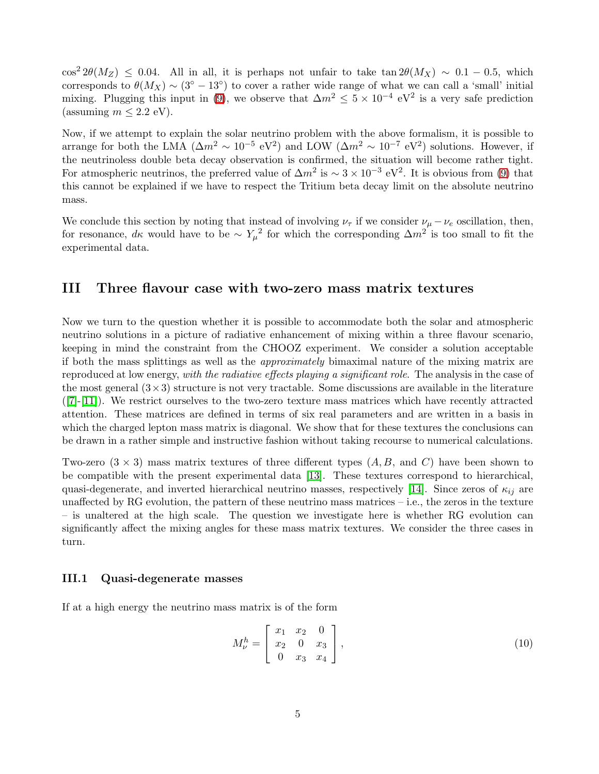$\cos^2 2\theta(M_Z) \leq 0.04$ . All in all, it is perhaps not unfair to take tan  $2\theta(M_X) \sim 0.1 - 0.5$ , which corresponds to  $\theta(M_X) \sim (3^{\circ} - 13^{\circ})$  to cover a rather wide range of what we can call a 'small' initial mixing. Plugging this input in [\(9\)](#page-4-3), we observe that  $\Delta m^2 \leq 5 \times 10^{-4} \text{ eV}^2$  is a very safe prediction (assuming  $m \leq 2.2$  eV).

Now, if we attempt to explain the solar neutrino problem with the above formalism, it is possible to arrange for both the LMA ( $\Delta m^2 \sim 10^{-5}$  eV<sup>2</sup>) and LOW ( $\Delta m^2 \sim 10^{-7}$  eV<sup>2</sup>) solutions. However, if the neutrinoless double beta decay observation is confirmed, the situation will become rather tight. For atmospheric neutrinos, the preferred value of  $\Delta m^2$  is  $\sim 3 \times 10^{-3}$  eV<sup>2</sup>. It is obvious from [\(9\)](#page-4-3) that this cannot be explained if we have to respect the Tritium beta decay limit on the absolute neutrino mass.

We conclude this section by noting that instead of involving  $\nu_{\tau}$  if we consider  $\nu_{\mu} - \nu_{e}$  oscillation, then, for resonance,  $d\kappa$  would have to be  $\sim Y_\mu^2$  for which the corresponding  $\Delta m^2$  is too small to fit the experimental data.

## III Three flavour case with two-zero mass matrix textures

Now we turn to the question whether it is possible to accommodate both the solar and atmospheric neutrino solutions in a picture of radiative enhancement of mixing within a three flavour scenario, keeping in mind the constraint from the CHOOZ experiment. We consider a solution acceptable if both the mass splittings as well as the approximately bimaximal nature of the mixing matrix are reproduced at low energy, with the radiative effects playing a significant role. The analysis in the case of the most general  $(3\times3)$  structure is not very tractable. Some discussions are available in the literature  $([7]-[11])$  $([7]-[11])$  $([7]-[11])$  $([7]-[11])$  $([7]-[11])$ . We restrict ourselves to the two-zero texture mass matrices which have recently attracted attention. These matrices are defined in terms of six real parameters and are written in a basis in which the charged lepton mass matrix is diagonal. We show that for these textures the conclusions can be drawn in a rather simple and instructive fashion without taking recourse to numerical calculations.

Two-zero  $(3 \times 3)$  mass matrix textures of three different types  $(A, B, \text{ and } C)$  have been shown to be compatible with the present experimental data [\[13\]](#page-14-6). These textures correspond to hierarchical, quasi-degenerate, and inverted hierarchical neutrino masses, respectively [\[14\]](#page-14-7). Since zeros of  $\kappa_{ij}$  are unaffected by RG evolution, the pattern of these neutrino mass matrices – i.e., the zeros in the texture – is unaltered at the high scale. The question we investigate here is whether RG evolution can significantly affect the mixing angles for these mass matrix textures. We consider the three cases in turn.

### III.1 Quasi-degenerate masses

If at a high energy the neutrino mass matrix is of the form

<span id="page-5-0"></span>
$$
M_{\nu}^{h} = \begin{bmatrix} x_1 & x_2 & 0 \\ x_2 & 0 & x_3 \\ 0 & x_3 & x_4 \end{bmatrix},
$$
 (10)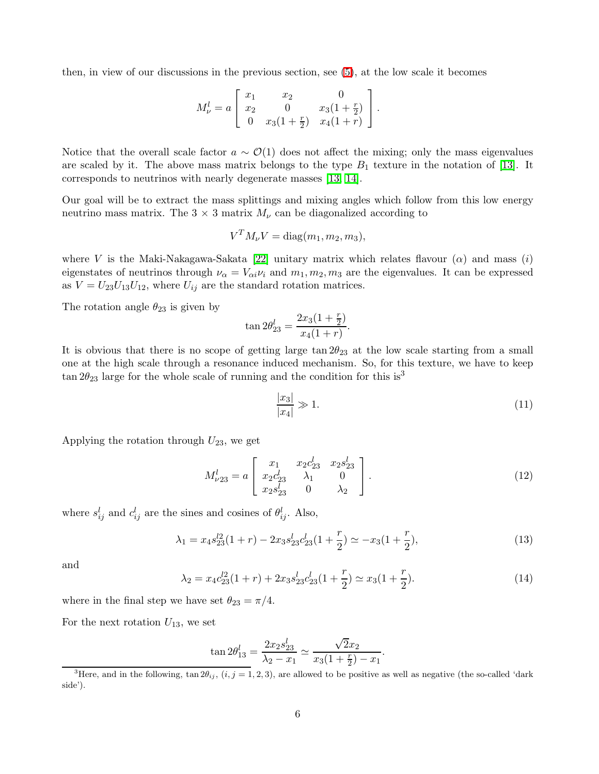then, in view of our discussions in the previous section, see [\(5\)](#page-3-1), at the low scale it becomes

$$
M_{\nu}^{l} = a \left[ \begin{array}{ccc} x_{1} & x_{2} & 0 \\ x_{2} & 0 & x_{3}(1+\frac{r}{2}) \\ 0 & x_{3}(1+\frac{r}{2}) & x_{4}(1+r) \end{array} \right].
$$

Notice that the overall scale factor  $a \sim \mathcal{O}(1)$  does not affect the mixing; only the mass eigenvalues are scaled by it. The above mass matrix belongs to the type  $B_1$  texture in the notation of [\[13\]](#page-14-6). It corresponds to neutrinos with nearly degenerate masses [\[13,](#page-14-6) [14\]](#page-14-7).

Our goal will be to extract the mass splittings and mixing angles which follow from this low energy neutrino mass matrix. The  $3 \times 3$  matrix  $M_{\nu}$  can be diagonalized according to

$$
V^T M_{\nu} V = \text{diag}(m_1, m_2, m_3),
$$

where V is the Maki-Nakagawa-Sakata [\[22\]](#page-15-5) unitary matrix which relates flavour  $(\alpha)$  and mass  $(i)$ eigenstates of neutrinos through  $\nu_{\alpha} = V_{\alpha i} \nu_i$  and  $m_1, m_2, m_3$  are the eigenvalues. It can be expressed as  $V = U_{23}U_{13}U_{12}$ , where  $U_{ij}$  are the standard rotation matrices.

The rotation angle  $\theta_{23}$  is given by

$$
\tan 2\theta_{23}^l = \frac{2x_3(1+\frac{r}{2})}{x_4(1+r)}.
$$

It is obvious that there is no scope of getting large  $\tan 2\theta_{23}$  at the low scale starting from a small one at the high scale through a resonance induced mechanism. So, for this texture, we have to keep  $\tan 2\theta_{23}$  large for the whole scale of running and the condition for this is<sup>3</sup>

<span id="page-6-1"></span>
$$
\frac{|x_3|}{|x_4|} \gg 1. \tag{11}
$$

Applying the rotation through  $U_{23}$ , we get

<span id="page-6-2"></span>
$$
M_{\nu 23}^l = a \begin{bmatrix} x_1 & x_2 c_{23}^l & x_2 s_{23}^l \\ x_2 c_{23}^l & \lambda_1 & 0 \\ x_2 s_{23}^l & 0 & \lambda_2 \end{bmatrix} . \tag{12}
$$

<span id="page-6-0"></span>where  $s_{ij}^l$  and  $c_{ij}^l$  are the sines and cosines of  $\theta_{ij}^l$ . Also,

$$
\lambda_1 = x_4 s_{23}^{l2} (1+r) - 2x_3 s_{23}^{l} c_{23}^{l} (1+\frac{r}{2}) \simeq -x_3 (1+\frac{r}{2}),\tag{13}
$$

and

$$
\lambda_2 = x_4 c_{23}^{l2} (1+r) + 2x_3 s_{23}^{l} c_{23}^{l} (1+\frac{r}{2}) \simeq x_3 (1+\frac{r}{2}). \tag{14}
$$

where in the final step we have set  $\theta_{23} = \pi/4$ .

For the next rotation  $U_{13}$ , we set

$$
\tan 2\theta_{13}^l = \frac{2x_2 s_{23}^l}{\lambda_2 - x_1} \simeq \frac{\sqrt{2}x_2}{x_3(1 + \frac{r}{2}) - x_1}.
$$

<sup>&</sup>lt;sup>3</sup>Here, and in the following, tan  $2\theta_{ij}$ ,  $(i, j = 1, 2, 3)$ , are allowed to be positive as well as negative (the so-called 'dark side').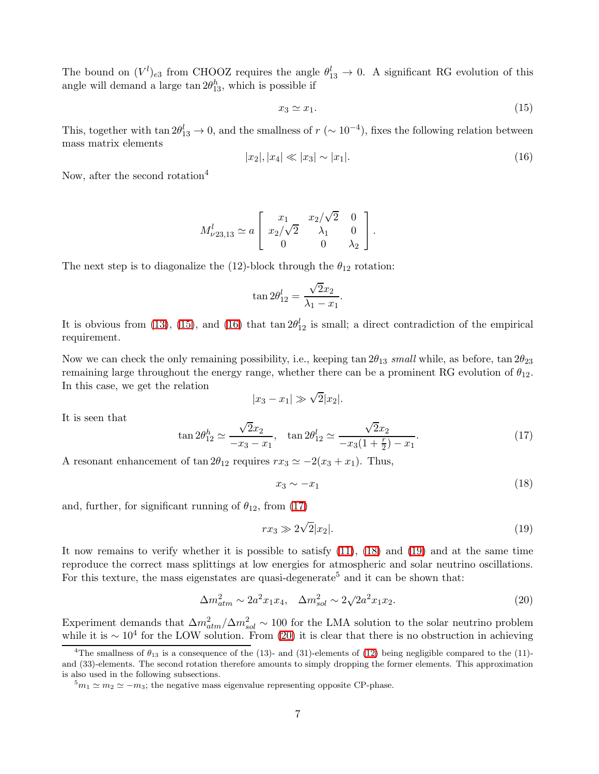The bound on  $(V^l)_{e3}$  from CHOOZ requires the angle  $\theta_{13}^l \to 0$ . A significant RG evolution of this angle will demand a large  $\tan 2\theta_{13}^h$ , which is possible if

<span id="page-7-0"></span>
$$
x_3 \simeq x_1. \tag{15}
$$

This, together with  $\tan 2\theta_{13}^l \to 0$ , and the smallness of  $r (\sim 10^{-4})$ , fixes the following relation between mass matrix elements

<span id="page-7-1"></span>
$$
|x_2|, |x_4| \ll |x_3| \sim |x_1|.
$$
 (16)

Now, after the second rotation<sup>4</sup>

$$
M^l_{\nu 23,13} \simeq a \left[ \begin{array}{ccc} x_1 & x_2/\sqrt{2} & 0 \\ x_2/\sqrt{2} & \lambda_1 & 0 \\ 0 & 0 & \lambda_2 \end{array} \right].
$$

The next step is to diagonalize the (12)-block through the  $\theta_{12}$  rotation:

$$
\tan 2\theta_{12}^l = \frac{\sqrt{2}x_2}{\lambda_1 - x_1}.
$$

It is obvious from [\(13\)](#page-6-0), [\(15\)](#page-7-0), and [\(16\)](#page-7-1) that tan  $2\theta_{12}^l$  is small; a direct contradiction of the empirical requirement.

Now we can check the only remaining possibility, i.e., keeping tan  $2\theta_{13}$  small while, as before, tan  $2\theta_{23}$ remaining large throughout the energy range, whether there can be a prominent RG evolution of  $\theta_{12}$ . In this case, we get the relation

$$
|x_3 - x_1| \gg \sqrt{2}|x_2|.
$$

<span id="page-7-2"></span>It is seen that

<span id="page-7-3"></span>
$$
\tan 2\theta_{12}^h \simeq \frac{\sqrt{2}x_2}{-x_3 - x_1}, \quad \tan 2\theta_{12}^l \simeq \frac{\sqrt{2}x_2}{-x_3(1 + \frac{r}{2}) - x_1}.\tag{17}
$$

A resonant enhancement of tan  $2\theta_{12}$  requires  $rx_3 \simeq -2(x_3 + x_1)$ . Thus,

$$
x_3 \sim -x_1 \tag{18}
$$

and, further, for significant running of  $\theta_{12}$ , from [\(17\)](#page-7-2)

<span id="page-7-4"></span>
$$
rx_3 \gg 2\sqrt{2}|x_2|.\tag{19}
$$

It now remains to verify whether it is possible to satisfy [\(11\)](#page-6-1), [\(18\)](#page-7-3) and [\(19\)](#page-7-4) and at the same time reproduce the correct mass splittings at low energies for atmospheric and solar neutrino oscillations. For this texture, the mass eigenstates are quasi-degenerate<sup>5</sup> and it can be shown that:

<span id="page-7-5"></span>
$$
\Delta m_{atm}^2 \sim 2a^2 x_1 x_4, \quad \Delta m_{sol}^2 \sim 2\sqrt{2a^2 x_1 x_2}.\tag{20}
$$

Experiment demands that  $\Delta m_{atm}^2/\Delta m_{sol}^2 \sim 100$  for the LMA solution to the solar neutrino problem while it is  $\sim 10^4$  for the LOW solution. From [\(20\)](#page-7-5) it is clear that there is no obstruction in achieving

<sup>&</sup>lt;sup>4</sup>The smallness of  $\theta_{13}$  is a consequence of the (13)- and (31)-elements of [\(12\)](#page-6-2) being negligible compared to the (11)and (33)-elements. The second rotation therefore amounts to simply dropping the former elements. This approximation is also used in the following subsections.

 $5m_1 \simeq m_2 \simeq -m_3$ ; the negative mass eigenvalue representing opposite CP-phase.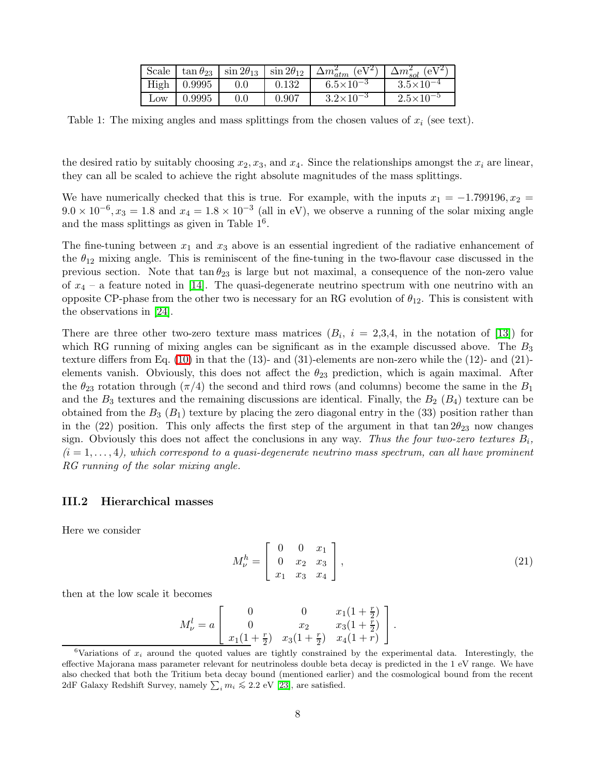|                 |                    | Scale $\vert \tan \theta_{23} \vert \sin 2\theta_{13} \vert \sin 2\theta_{12} \vert$ |       | $(eV^2)$<br>$\Delta m^2_{atm}$ | $(eV^2)$<br>$\Delta m_{sol}^2$ ( |
|-----------------|--------------------|--------------------------------------------------------------------------------------|-------|--------------------------------|----------------------------------|
|                 | $High \mid 0.9995$ | $0.0\,$                                                                              | 0.132 | $6.5 \times 10^{-3}$           | $3.5 \times 10^{-4}$             |
| $_{\text{LOW}}$ | 0.9995             |                                                                                      | 0.907 | $3.2\times10^{-3}$             | $2.5 \times 10^{-5}$             |

Table 1: The mixing angles and mass splittings from the chosen values of  $x_i$  (see text).

the desired ratio by suitably choosing  $x_2, x_3$ , and  $x_4$ . Since the relationships amongst the  $x_i$  are linear, they can all be scaled to achieve the right absolute magnitudes of the mass splittings.

We have numerically checked that this is true. For example, with the inputs  $x_1 = -1.799196, x_2 =$  $9.0 \times 10^{-6}$ ,  $x_3 = 1.8$  and  $x_4 = 1.8 \times 10^{-3}$  (all in eV), we observe a running of the solar mixing angle and the mass splittings as given in Table  $1^6$ .

The fine-tuning between  $x_1$  and  $x_3$  above is an essential ingredient of the radiative enhancement of the  $\theta_{12}$  mixing angle. This is reminiscent of the fine-tuning in the two-flavour case discussed in the previous section. Note that  $\tan \theta_{23}$  is large but not maximal, a consequence of the non-zero value of  $x_4$  – a feature noted in [\[14\]](#page-14-7). The quasi-degenerate neutrino spectrum with one neutrino with an opposite CP-phase from the other two is necessary for an RG evolution of  $\theta_{12}$ . This is consistent with the observations in [\[24\]](#page-15-6).

There are three other two-zero texture mass matrices  $(B_i, i = 2,3,4)$ , in the notation of [\[13\]](#page-14-6)) for which RG running of mixing angles can be significant as in the example discussed above. The  $B_3$ texture differs from Eq. [\(10\)](#page-5-0) in that the (13)- and (31)-elements are non-zero while the (12)- and (21) elements vanish. Obviously, this does not affect the  $\theta_{23}$  prediction, which is again maximal. After the  $\theta_{23}$  rotation through  $(\pi/4)$  the second and third rows (and columns) become the same in the  $B_1$ and the  $B_3$  textures and the remaining discussions are identical. Finally, the  $B_2$  ( $B_4$ ) texture can be obtained from the  $B_3$  ( $B_1$ ) texture by placing the zero diagonal entry in the (33) position rather than in the (22) position. This only affects the first step of the argument in that  $\tan 2\theta_{23}$  now changes sign. Obviously this does not affect the conclusions in any way. Thus the four two-zero textures  $B_i$ ,  $(i = 1, \ldots, 4)$ , which correspond to a quasi-degenerate neutrino mass spectrum, can all have prominent RG running of the solar mixing angle.

#### III.2 Hierarchical masses

Here we consider

$$
M_{\nu}^{h} = \begin{bmatrix} 0 & 0 & x_1 \\ 0 & x_2 & x_3 \\ x_1 & x_3 & x_4 \end{bmatrix},
$$
 (21)

then at the low scale it becomes

<span id="page-8-0"></span>
$$
M_{\nu}^{l} = a \begin{bmatrix} 0 & 0 & x_{1}(1 + \frac{r}{2}) \\ 0 & x_{2} & x_{3}(1 + \frac{r}{2}) \\ x_{1}(1 + \frac{r}{2}) & x_{3}(1 + \frac{r}{2}) & x_{4}(1 + r) \end{bmatrix}.
$$

<sup>&</sup>lt;sup>6</sup>Variations of  $x_i$  around the quoted values are tightly constrained by the experimental data. Interestingly, the effective Majorana mass parameter relevant for neutrinoless double beta decay is predicted in the 1 eV range. We have also checked that both the Tritium beta decay bound (mentioned earlier) and the cosmological bound from the recent 2dF Galaxy Redshift Survey, namely  $\sum_i m_i \leq 2.2$  eV [\[23\]](#page-15-7), are satisfied.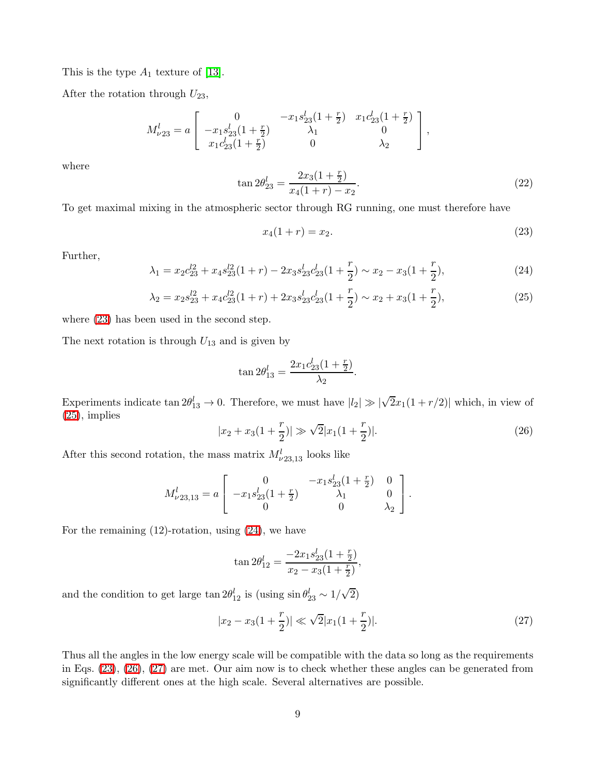This is the type  $A_1$  texture of [\[13\]](#page-14-6).

After the rotation through  $U_{23}$ ,

<span id="page-9-5"></span>
$$
M_{\nu 23}^l = a \left[ \begin{array}{ccc} 0 & -x_1 s_{23}^l (1+\frac{r}{2}) & x_1 c_{23}^l (1+\frac{r}{2}) \\ -x_1 s_{23}^l (1+\frac{r}{2}) & \lambda_1 & 0 \\ x_1 c_{23}^l (1+\frac{r}{2}) & 0 & \lambda_2 \end{array} \right],
$$

where

<span id="page-9-0"></span>
$$
\tan 2\theta_{23}^l = \frac{2x_3(1+\frac{r}{2})}{x_4(1+r)-x_2}.\tag{22}
$$

To get maximal mixing in the atmospheric sector through RG running, one must therefore have

$$
x_4(1+r) = x_2. \t\t(23)
$$

<span id="page-9-2"></span><span id="page-9-1"></span>Further,

$$
\lambda_1 = x_2 c_{23}^{l2} + x_4 s_{23}^{l2} (1+r) - 2x_3 s_{23}^{l} c_{23}^{l} (1+\frac{r}{2}) \sim x_2 - x_3 (1+\frac{r}{2}), \tag{24}
$$

$$
\lambda_2 = x_2 s_{23}^{l2} + x_4 c_{23}^{l2} (1+r) + 2x_3 s_{23}^{l} c_{23}^{l} (1+\frac{r}{2}) \sim x_2 + x_3 (1+\frac{r}{2}), \tag{25}
$$

.

where [\(23\)](#page-9-0) has been used in the second step.

The next rotation is through  $U_{13}$  and is given by

$$
\tan 2\theta_{13}^l = \frac{2x_1c_{23}^l(1+\frac{r}{2})}{\lambda_2}
$$

Experiments indicate  $\tan 2\theta_{13}^l \to 0$ . Therefore, we must have  $|l_2| \gg |\sqrt{2}x_1(1+r/2)|$  which, in view of  $(25)$ , implies

$$
|x_2 + x_3(1 + \frac{r}{2})| \gg \sqrt{2}|x_1(1 + \frac{r}{2})|.
$$
 (26)

After this second rotation, the mass matrix  $M_{\nu 23,13}^l$  looks like

<span id="page-9-3"></span>
$$
M^l_{\nu 23,13} = a \left[ \begin{array}{ccc} 0 & -x_1 s_{23}^l (1 + \frac{r}{2}) & 0 \\ -x_1 s_{23}^l (1 + \frac{r}{2}) & \lambda_1 & 0 \\ 0 & 0 & \lambda_2 \end{array} \right].
$$

For the remaining (12)-rotation, using [\(24\)](#page-9-2), we have

$$
\tan 2\theta_{12}^l = \frac{-2x_1s_{23}^l(1+\frac{r}{2})}{x_2 - x_3(1+\frac{r}{2})},
$$

and the condition to get large  $\tan 2\theta_{12}^l$  is  $(\text{using } \sin \theta_{23}^l \sim 1/\sqrt{2})$ 

<span id="page-9-4"></span>
$$
|x_2 - x_3(1 + \frac{r}{2})| \ll \sqrt{2}|x_1(1 + \frac{r}{2})|.
$$
 (27)

Thus all the angles in the low energy scale will be compatible with the data so long as the requirements in Eqs. [\(23\)](#page-9-0), [\(26\)](#page-9-3), [\(27\)](#page-9-4) are met. Our aim now is to check whether these angles can be generated from significantly different ones at the high scale. Several alternatives are possible.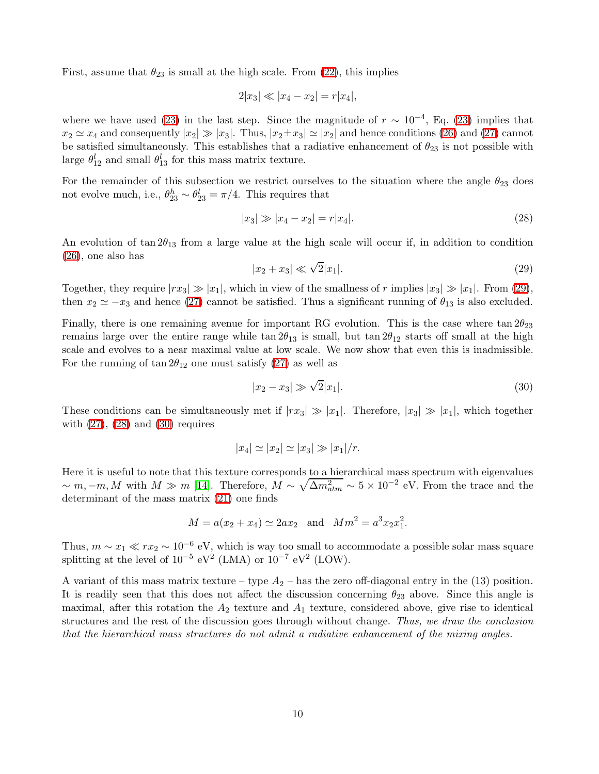First, assume that  $\theta_{23}$  is small at the high scale. From [\(22\)](#page-9-5), this implies

$$
2|x_3| \ll |x_4 - x_2| = r|x_4|,
$$

where we have used [\(23\)](#page-9-0) in the last step. Since the magnitude of  $r \sim 10^{-4}$ , Eq. (23) implies that  $x_2 \simeq x_4$  and consequently  $|x_2| \gg |x_3|$ . Thus,  $|x_2 \pm x_3| \simeq |x_2|$  and hence conditions [\(26\)](#page-9-3) and [\(27\)](#page-9-4) cannot be satisfied simultaneously. This establishes that a radiative enhancement of  $\theta_{23}$  is not possible with large  $\theta_{12}^l$  and small  $\theta_{13}^l$  for this mass matrix texture.

For the remainder of this subsection we restrict ourselves to the situation where the angle  $\theta_{23}$  does not evolve much, i.e.,  $\theta_{23}^h \sim \theta_{23}^l = \pi/4$ . This requires that

<span id="page-10-1"></span><span id="page-10-0"></span>
$$
|x_3| \gg |x_4 - x_2| = r|x_4|.\tag{28}
$$

An evolution of tan  $2\theta_{13}$  from a large value at the high scale will occur if, in addition to condition [\(26\)](#page-9-3), one also has

$$
|x_2 + x_3| \ll \sqrt{2}|x_1|.
$$
 (29)

Together, they require  $|rx_3| \gg |x_1|$ , which in view of the smallness of r implies  $|x_3| \gg |x_1|$ . From [\(29\)](#page-10-0), then  $x_2 \simeq -x_3$  and hence [\(27\)](#page-9-4) cannot be satisfied. Thus a significant running of  $\theta_{13}$  is also excluded.

Finally, there is one remaining avenue for important RG evolution. This is the case where  $\tan 2\theta_{23}$ remains large over the entire range while tan  $2\theta_{13}$  is small, but tan  $2\theta_{12}$  starts off small at the high scale and evolves to a near maximal value at low scale. We now show that even this is inadmissible. For the running of  $\tan 2\theta_{12}$  one must satisfy [\(27\)](#page-9-4) as well as

<span id="page-10-2"></span>
$$
|x_2 - x_3| \gg \sqrt{2}|x_1|.
$$
 (30)

These conditions can be simultaneously met if  $|rx_3| \gg |x_1|$ . Therefore,  $|x_3| \gg |x_1|$ , which together with  $(27)$ ,  $(28)$  and  $(30)$  requires

$$
|x_4| \simeq |x_2| \simeq |x_3| \gg |x_1|/r.
$$

Here it is useful to note that this texture corresponds to a hierarchical mass spectrum with eigenvalues  $\sim m, -m, M$  with  $M \gg m$  [\[14\]](#page-14-7). Therefore,  $M \sim \sqrt{\Delta m_{atm}^2} \sim 5 \times 10^{-2}$  eV. From the trace and the determinant of the mass matrix [\(21\)](#page-8-0) one finds

$$
M = a(x_2 + x_4) \simeq 2ax_2
$$
 and  $Mm^2 = a^3x_2x_1^2$ .

Thus,  $m \sim x_1 \ll rx_2 \sim 10^{-6}$  eV, which is way too small to accommodate a possible solar mass square splitting at the level of  $10^{-5}$  eV<sup>2</sup> (LMA) or  $10^{-7}$  eV<sup>2</sup> (LOW).

A variant of this mass matrix texture – type  $A_2$  – has the zero off-diagonal entry in the (13) position. It is readily seen that this does not affect the discussion concerning  $\theta_{23}$  above. Since this angle is maximal, after this rotation the  $A_2$  texture and  $A_1$  texture, considered above, give rise to identical structures and the rest of the discussion goes through without change. Thus, we draw the conclusion that the hierarchical mass structures do not admit a radiative enhancement of the mixing angles.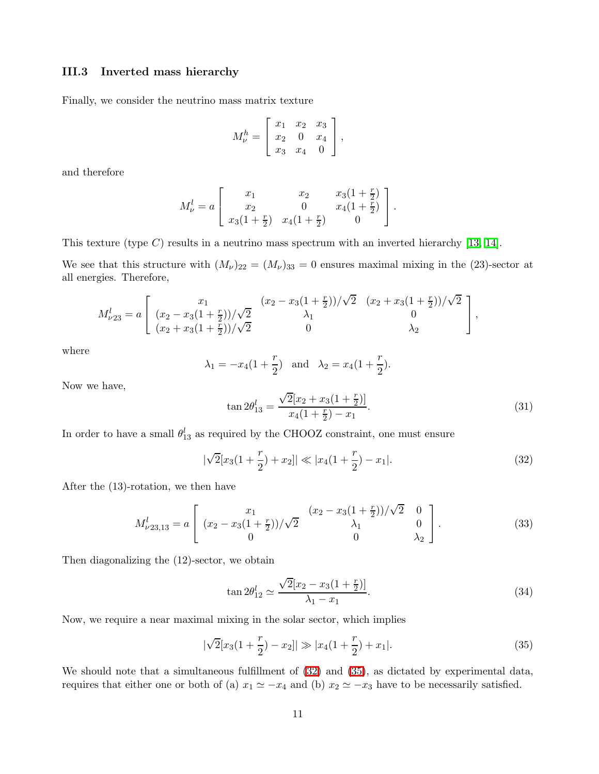### III.3 Inverted mass hierarchy

Finally, we consider the neutrino mass matrix texture

$$
M_{\nu}^{h} = \left[ \begin{array}{ccc} x_1 & x_2 & x_3 \\ x_2 & 0 & x_4 \\ x_3 & x_4 & 0 \end{array} \right],
$$

and therefore

$$
M_{\nu}^{l} = a \begin{bmatrix} x_1 & x_2 & x_3(1 + \frac{r}{2}) \\ x_2 & 0 & x_4(1 + \frac{r}{2}) \\ x_3(1 + \frac{r}{2}) & x_4(1 + \frac{r}{2}) & 0 \end{bmatrix}.
$$

This texture (type  $C$ ) results in a neutrino mass spectrum with an inverted hierarchy [\[13,](#page-14-6) [14\]](#page-14-7).

We see that this structure with  $(M_{\nu})_{22} = (M_{\nu})_{33} = 0$  ensures maximal mixing in the (23)-sector at all energies. Therefore,

$$
M_{\nu 23}^l = a \left[ \begin{array}{cc} x_1 & (x_2 - x_3(1 + \frac{r}{2}))/\sqrt{2} & (x_2 + x_3(1 + \frac{r}{2}))/\sqrt{2} \\ (x_2 - x_3(1 + \frac{r}{2}))/\sqrt{2} & \lambda_1 & 0 \\ (x_2 + x_3(1 + \frac{r}{2}))/\sqrt{2} & 0 & \lambda_2 \end{array} \right],
$$

where

$$
\lambda_1 = -x_4(1 + \frac{r}{2})
$$
 and  $\lambda_2 = x_4(1 + \frac{r}{2}).$ 

Now we have,

$$
\tan 2\theta_{13}^l = \frac{\sqrt{2}[x_2 + x_3(1 + \frac{r}{2})]}{x_4(1 + \frac{r}{2}) - x_1}.
$$
\n(31)

In order to have a small  $\theta_{13}^l$  as required by the CHOOZ constraint, one must ensure

$$
|\sqrt{2}[x_3(1+\frac{r}{2})+x_2]| \ll |x_4(1+\frac{r}{2})-x_1|.
$$
 (32)

<span id="page-11-2"></span>After the (13)-rotation, we then have

<span id="page-11-0"></span>
$$
M_{\nu 23,13}^l = a \left[ \begin{array}{cc} x_1 & (x_2 - x_3(1 + \frac{r}{2}))/\sqrt{2} & 0 \\ (x_2 - x_3(1 + \frac{r}{2}))/\sqrt{2} & \lambda_1 & 0 \\ 0 & 0 & \lambda_2 \end{array} \right].
$$
 (33)

Then diagonalizing the (12)-sector, we obtain

$$
\tan 2\theta_{12}^l \simeq \frac{\sqrt{2}[x_2 - x_3(1 + \frac{r}{2})]}{\lambda_1 - x_1}.
$$
\n(34)

Now, we require a near maximal mixing in the solar sector, which implies

<span id="page-11-1"></span>
$$
|\sqrt{2}[x_3(1+\frac{r}{2})-x_2]| \gg |x_4(1+\frac{r}{2})+x_1|.
$$
 (35)

We should note that a simultaneous fulfillment of  $(32)$  and  $(35)$ , as dictated by experimental data, requires that either one or both of (a)  $x_1 \simeq -x_4$  and (b)  $x_2 \simeq -x_3$  have to be necessarily satisfied.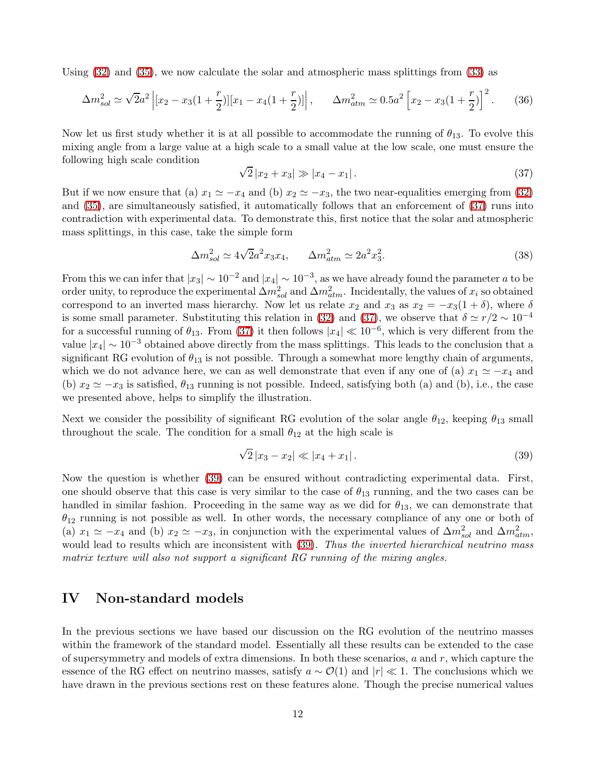Using [\(32\)](#page-11-0) and [\(35\)](#page-11-1), we now calculate the solar and atmospheric mass splittings from [\(33\)](#page-11-2) as

$$
\Delta m_{sol}^2 \simeq \sqrt{2}a^2 \left[ [x_2 - x_3(1 + \frac{r}{2})][x_1 - x_4(1 + \frac{r}{2})] \right], \qquad \Delta m_{atm}^2 \simeq 0.5a^2 \left[ x_2 - x_3(1 + \frac{r}{2}) \right]^2. \tag{36}
$$

Now let us first study whether it is at all possible to accommodate the running of  $\theta_{13}$ . To evolve this mixing angle from a large value at a high scale to a small value at the low scale, one must ensure the following high scale condition

<span id="page-12-0"></span>
$$
\sqrt{2}|x_2 + x_3| \gg |x_4 - x_1|.
$$
\n(37)

But if we now ensure that (a)  $x_1 \simeq -x_4$  and (b)  $x_2 \simeq -x_3$ , the two near-equalities emerging from [\(32\)](#page-11-0) and [\(35\)](#page-11-1), are simultaneously satisfied, it automatically follows that an enforcement of [\(37\)](#page-12-0) runs into contradiction with experimental data. To demonstrate this, first notice that the solar and atmospheric mass splittings, in this case, take the simple form

$$
\Delta m_{sol}^2 \simeq 4\sqrt{2}a^2 x_3 x_4, \qquad \Delta m_{atm}^2 \simeq 2a^2 x_3^2. \tag{38}
$$

From this we can infer that  $|x_3| \sim 10^{-2}$  and  $|x_4| \sim 10^{-3}$ , as we have already found the parameter a to be order unity, to reproduce the experimental  $\Delta m_{sol}^2$  and  $\Delta m_{atm}^2$ . Incidentally, the values of  $x_i$  so obtained correspond to an inverted mass hierarchy. Now let us relate  $x_2$  and  $x_3$  as  $x_2 = -x_3(1 + \delta)$ , where  $\delta$ is some small parameter. Substituting this relation in [\(32\)](#page-11-0) and [\(37\)](#page-12-0), we observe that  $\delta \simeq r/2 \sim 10^{-4}$ for a successful running of  $\theta_{13}$ . From [\(37\)](#page-12-0) it then follows  $|x_4| \ll 10^{-6}$ , which is very different from the value  $|x_4| \sim 10^{-3}$  obtained above directly from the mass splittings. This leads to the conclusion that a significant RG evolution of  $\theta_{13}$  is not possible. Through a somewhat more lengthy chain of arguments, which we do not advance here, we can as well demonstrate that even if any one of (a)  $x_1 \simeq -x_4$  and (b)  $x_2 \simeq -x_3$  is satisfied,  $\theta_{13}$  running is not possible. Indeed, satisfying both (a) and (b), i.e., the case we presented above, helps to simplify the illustration.

Next we consider the possibility of significant RG evolution of the solar angle  $\theta_{12}$ , keeping  $\theta_{13}$  small throughout the scale. The condition for a small  $\theta_{12}$  at the high scale is

<span id="page-12-1"></span>
$$
\sqrt{2}|x_3 - x_2| \ll |x_4 + x_1|.
$$
\n(39)

Now the question is whether [\(39\)](#page-12-1) can be ensured without contradicting experimental data. First, one should observe that this case is very similar to the case of  $\theta_{13}$  running, and the two cases can be handled in similar fashion. Proceeding in the same way as we did for  $\theta_{13}$ , we can demonstrate that  $\theta_{12}$  running is not possible as well. In other words, the necessary compliance of any one or both of (a)  $x_1 \simeq -x_4$  and (b)  $x_2 \simeq -x_3$ , in conjunction with the experimental values of  $\Delta m_{sol}^2$  and  $\Delta m_{atm}^2$ , would lead to results which are inconsistent with  $(39)$ . Thus the inverted hierarchical neutrino mass matrix texture will also not support a significant RG running of the mixing angles.

## IV Non-standard models

In the previous sections we have based our discussion on the RG evolution of the neutrino masses within the framework of the standard model. Essentially all these results can be extended to the case of supersymmetry and models of extra dimensions. In both these scenarios,  $a$  and  $r$ , which capture the essence of the RG effect on neutrino masses, satisfy  $a \sim \mathcal{O}(1)$  and  $|r| \ll 1$ . The conclusions which we have drawn in the previous sections rest on these features alone. Though the precise numerical values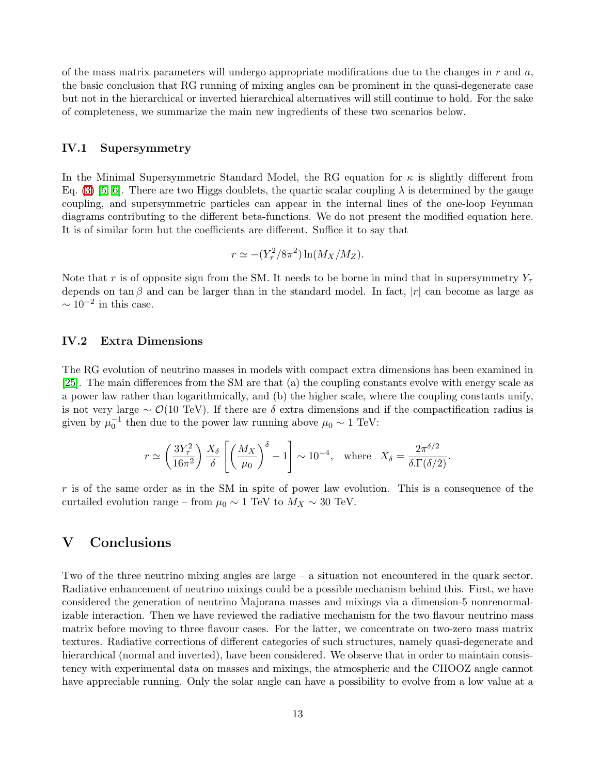of the mass matrix parameters will undergo appropriate modifications due to the changes in  $r$  and  $a$ , the basic conclusion that RG running of mixing angles can be prominent in the quasi-degenerate case but not in the hierarchical or inverted hierarchical alternatives will still continue to hold. For the sake of completeness, we summarize the main new ingredients of these two scenarios below.

#### IV.1 Supersymmetry

In the Minimal Supersymmetric Standard Model, the RG equation for  $\kappa$  is slightly different from Eq. [\(3\)](#page-3-0) [\[5,](#page-14-4) [6\]](#page-14-10). There are two Higgs doublets, the quartic scalar coupling  $\lambda$  is determined by the gauge coupling, and supersymmetric particles can appear in the internal lines of the one-loop Feynman diagrams contributing to the different beta-functions. We do not present the modified equation here. It is of similar form but the coefficients are different. Suffice it to say that

$$
r \simeq -(Y_{\tau}^2/8\pi^2) \ln(M_X/M_Z).
$$

Note that r is of opposite sign from the SM. It needs to be borne in mind that in supersymmetry  $Y_\tau$ depends on tan  $\beta$  and can be larger than in the standard model. In fact,  $|r|$  can become as large as  $\sim 10^{-2}$  in this case.

### IV.2 Extra Dimensions

The RG evolution of neutrino masses in models with compact extra dimensions has been examined in [\[25\]](#page-15-8). The main differences from the SM are that (a) the coupling constants evolve with energy scale as a power law rather than logarithmically, and (b) the higher scale, where the coupling constants unify, is not very large  $\sim \mathcal{O}(10 \text{ TeV})$ . If there are  $\delta$  extra dimensions and if the compactification radius is given by  $\mu_0^{-1}$  then due to the power law running above  $\mu_0 \sim 1 \text{ TeV}$ :

$$
r \simeq \left(\frac{3Y_{\tau}^2}{16\pi^2}\right) \frac{X_{\delta}}{\delta} \left[ \left(\frac{M_X}{\mu_0}\right)^{\delta} - 1 \right] \sim 10^{-4}, \text{ where } X_{\delta} = \frac{2\pi^{\delta/2}}{\delta \cdot \Gamma(\delta/2)}.
$$

 $r$  is of the same order as in the SM in spite of power law evolution. This is a consequence of the curtailed evolution range – from  $\mu_0 \sim 1$  TeV to  $M_X \sim 30$  TeV.

## V Conclusions

Two of the three neutrino mixing angles are large – a situation not encountered in the quark sector. Radiative enhancement of neutrino mixings could be a possible mechanism behind this. First, we have considered the generation of neutrino Majorana masses and mixings via a dimension-5 nonrenormalizable interaction. Then we have reviewed the radiative mechanism for the two flavour neutrino mass matrix before moving to three flavour cases. For the latter, we concentrate on two-zero mass matrix textures. Radiative corrections of different categories of such structures, namely quasi-degenerate and hierarchical (normal and inverted), have been considered. We observe that in order to maintain consistency with experimental data on masses and mixings, the atmospheric and the CHOOZ angle cannot have appreciable running. Only the solar angle can have a possibility to evolve from a low value at a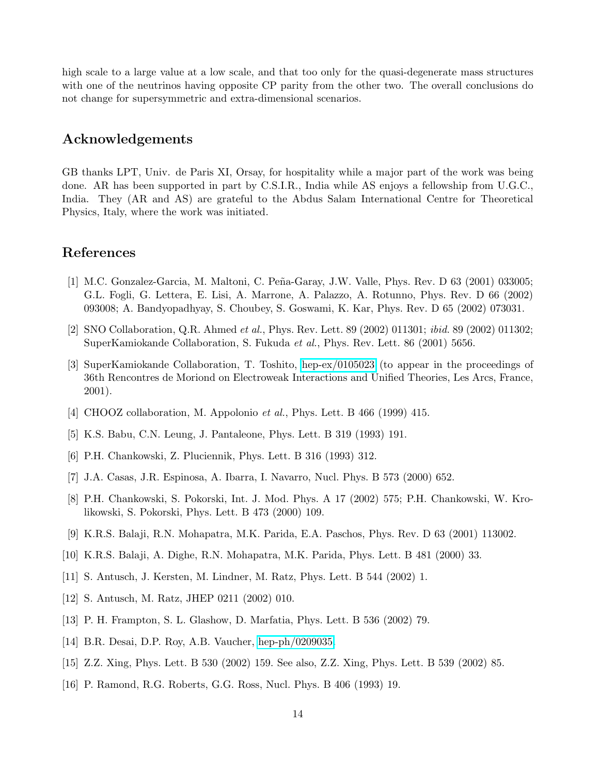high scale to a large value at a low scale, and that too only for the quasi-degenerate mass structures with one of the neutrinos having opposite CP parity from the other two. The overall conclusions do not change for supersymmetric and extra-dimensional scenarios.

## Acknowledgements

GB thanks LPT, Univ. de Paris XI, Orsay, for hospitality while a major part of the work was being done. AR has been supported in part by C.S.I.R., India while AS enjoys a fellowship from U.G.C., India. They (AR and AS) are grateful to the Abdus Salam International Centre for Theoretical Physics, Italy, where the work was initiated.

# <span id="page-14-0"></span>References

- [1] M.C. Gonzalez-Garcia, M. Maltoni, C. Peña-Garay, J.W. Valle, Phys. Rev. D 63 (2001) 033005; G.L. Fogli, G. Lettera, E. Lisi, A. Marrone, A. Palazzo, A. Rotunno, Phys. Rev. D 66 (2002) 093008; A. Bandyopadhyay, S. Choubey, S. Goswami, K. Kar, Phys. Rev. D 65 (2002) 073031.
- <span id="page-14-2"></span><span id="page-14-1"></span>[2] SNO Collaboration, Q.R. Ahmed et al., Phys. Rev. Lett. 89 (2002) 011301; ibid. 89 (2002) 011302; SuperKamiokande Collaboration, S. Fukuda et al., Phys. Rev. Lett. 86 (2001) 5656.
- [3] SuperKamiokande Collaboration, T. Toshito, [hep-ex/0105023](http://arxiv.org/abs/hep-ex/0105023) (to appear in the proceedings of 36th Rencontres de Moriond on Electroweak Interactions and Unified Theories, Les Arcs, France, 2001).
- <span id="page-14-4"></span><span id="page-14-3"></span>[4] CHOOZ collaboration, M. Appolonio et al., Phys. Lett. B 466 (1999) 415.
- <span id="page-14-10"></span>[5] K.S. Babu, C.N. Leung, J. Pantaleone, Phys. Lett. B 319 (1993) 191.
- <span id="page-14-11"></span>[6] P.H. Chankowski, Z. Pluciennik, Phys. Lett. B 316 (1993) 312.
- <span id="page-14-12"></span>[7] J.A. Casas, J.R. Espinosa, A. Ibarra, I. Navarro, Nucl. Phys. B 573 (2000) 652.
- [8] P.H. Chankowski, S. Pokorski, Int. J. Mod. Phys. A 17 (2002) 575; P.H. Chankowski, W. Krolikowski, S. Pokorski, Phys. Lett. B 473 (2000) 109.
- <span id="page-14-13"></span>[9] K.R.S. Balaji, R.N. Mohapatra, M.K. Parida, E.A. Paschos, Phys. Rev. D 63 (2001) 113002.
- <span id="page-14-15"></span><span id="page-14-14"></span>[10] K.R.S. Balaji, A. Dighe, R.N. Mohapatra, M.K. Parida, Phys. Lett. B 481 (2000) 33.
- <span id="page-14-5"></span>[11] S. Antusch, J. Kersten, M. Lindner, M. Ratz, Phys. Lett. B 544 (2002) 1.
- <span id="page-14-6"></span>[12] S. Antusch, M. Ratz, JHEP 0211 (2002) 010.
- <span id="page-14-7"></span>[13] P. H. Frampton, S. L. Glashow, D. Marfatia, Phys. Lett. B 536 (2002) 79.
- <span id="page-14-8"></span>[14] B.R. Desai, D.P. Roy, A.B. Vaucher, [hep-ph/0209035.](http://arxiv.org/abs/hep-ph/0209035)
- <span id="page-14-9"></span>[15] Z.Z. Xing, Phys. Lett. B 530 (2002) 159. See also, Z.Z. Xing, Phys. Lett. B 539 (2002) 85.
- [16] P. Ramond, R.G. Roberts, G.G. Ross, Nucl. Phys. B 406 (1993) 19.